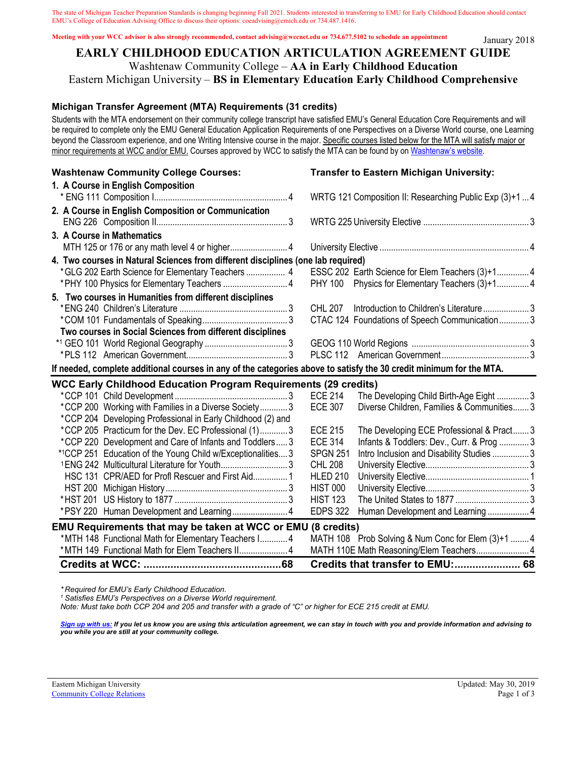The state of Michigan Teacher Preparation Standards is changing beginning Fall 2021. Students interested in transferring to EMU for Early Childhood Education should contact EMU's College of Education Advising Office to discuss their options: coeadvising@emich.edu or 734.487.1416.

**Meeting with your WCC advisor is also strongly recommended, contact advising@wccnet.edu or 734.677.5102 to schedule an appointment**

#### **EARLY CHILDHOOD EDUCATION ARTICULATION AGREEMENT GUIDE** Washtenaw Community College – **AA in Early Childhood Education** Eastern Michigan University – **BS in Elementary Education Early Childhood Comprehensive**

## **Michigan Transfer Agreement (MTA) Requirements (31 credits)**

Students with the MTA endorsement on their community college transcript have satisfied EMU's General Education Core Requirements and will be required to complete only the EMU General Education Application Requirements of one Perspectives on a Diverse World course, one Learning beyond the Classroom experience, and one Writing Intensive course in the major. Specific courses listed below for the MTA will satisfy major or minor requirements at WCC and/or EMU. Courses approved by WCC to satisfy the MTA can be found by on Washtenaw's website.

| <b>Washtenaw Community College Courses:</b>                                                                         | <b>Transfer to Eastern Michigan University:</b>                              |
|---------------------------------------------------------------------------------------------------------------------|------------------------------------------------------------------------------|
| 1. A Course in English Composition                                                                                  |                                                                              |
|                                                                                                                     | WRTG 121 Composition II: Researching Public Exp (3)+1  4                     |
| 2. A Course in English Composition or Communication                                                                 |                                                                              |
|                                                                                                                     |                                                                              |
| 3. A Course in Mathematics                                                                                          |                                                                              |
|                                                                                                                     |                                                                              |
| 4. Two courses in Natural Sciences from different disciplines (one lab required)                                    |                                                                              |
| * GLG 202 Earth Science for Elementary Teachers  4                                                                  | ESSC 202 Earth Science for Elem Teachers (3)+1 4                             |
|                                                                                                                     | PHY 100 Physics for Elementary Teachers (3)+14                               |
| 5. Two courses in Humanities from different disciplines                                                             |                                                                              |
|                                                                                                                     | <b>CHL 207</b><br>Introduction to Children's Literature3                     |
|                                                                                                                     | CTAC 124 Foundations of Speech Communication 3                               |
| Two courses in Social Sciences from different disciplines                                                           |                                                                              |
|                                                                                                                     |                                                                              |
|                                                                                                                     |                                                                              |
| If needed, complete additional courses in any of the categories above to satisfy the 30 credit minimum for the MTA. |                                                                              |
| <b>WCC Early Childhood Education Program Requirements (29 credits)</b>                                              |                                                                              |
|                                                                                                                     |                                                                              |
|                                                                                                                     | <b>ECE 214</b><br>The Developing Child Birth-Age Eight 3                     |
| *CCP 200 Working with Families in a Diverse Society3                                                                | <b>ECE 307</b><br>Diverse Children, Families & Communities 3                 |
| *CCP 204 Developing Professional in Early Childhood (2) and                                                         |                                                                              |
| *CCP 205 Practicum for the Dev. EC Professional (1)3                                                                | <b>ECE 215</b><br>The Developing ECE Professional & Pract3                   |
| *CCP 220 Development and Care of Infants and Toddlers3                                                              | <b>ECE 314</b><br>Infants & Toddlers: Dev., Curr. & Prog  3                  |
| *1CCP 251 Education of the Young Child w/Exceptionalities 3                                                         | <b>SPGN 251</b><br>Intro Inclusion and Disability Studies 3                  |
| <sup>1</sup> ENG 242 Multicultural Literature for Youth3                                                            | <b>CHL 208</b>                                                               |
| HSC 131 CPR/AED for Profl Rescuer and First Aid 1                                                                   | <b>HLED 210</b>                                                              |
|                                                                                                                     | <b>HIST 000</b>                                                              |
|                                                                                                                     | <b>HIST 123</b>                                                              |
| *PSY 220 Human Development and Learning 4                                                                           | <b>EDPS 322</b><br>Human Development and Learning  4                         |
| EMU Requirements that may be taken at WCC or EMU (8 credits)                                                        |                                                                              |
| *MTH 148 Functional Math for Elementary Teachers I 4                                                                | MATH 108 Prob Solving & Num Conc for Elem (3)+1  4                           |
| *MTH 149 Functional Math for Elem Teachers II 4                                                                     | MATH 110E Math Reasoning/Elem Teachers 4<br>Credits that transfer to EMU: 68 |

*\* Required for EMU's Early Childhood Education.*

*1 Satisfies EMU's Perspectives on a Diverse World requirement.*

*Note: Must take both CCP 204 and 205 and transfer with a grade of "C" or higher for ECE 215 credit at EMU.*

*[Sign up with us:](http://www.emich.edu/ccr/articulation-agreements/signup.php) If you let us know you are using this articulation agreement, we can stay in touch with you and provide information and advising to you while you are still at your community college.*

January 2018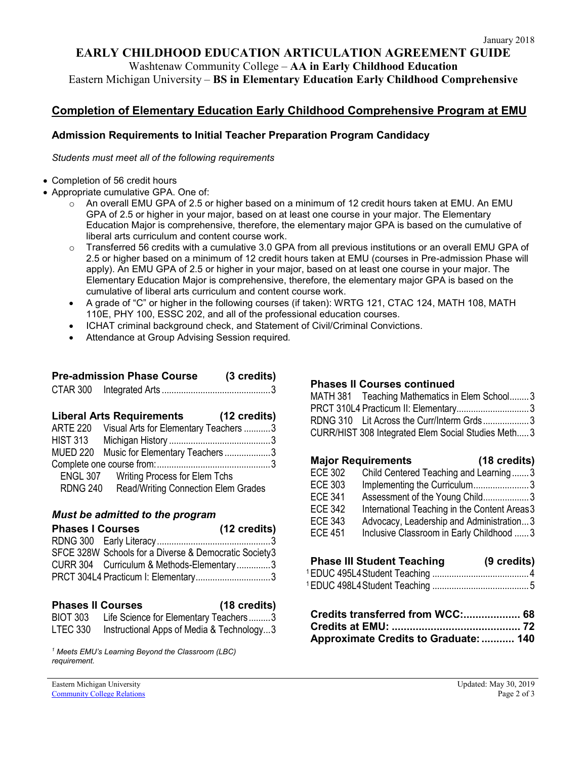### **EARLY CHILDHOOD EDUCATION ARTICULATION AGREEMENT GUIDE**

Washtenaw Community College – **AA in Early Childhood Education**

Eastern Michigan University – **BS in Elementary Education Early Childhood Comprehensive**

## **Completion of Elementary Education Early Childhood Comprehensive Program at EMU**

#### **Admission Requirements to Initial Teacher Preparation Program Candidacy**

*Students must meet all of the following requirements*

- Completion of 56 credit hours
- Appropriate cumulative GPA. One of:
	- o An overall EMU GPA of 2.5 or higher based on a minimum of 12 credit hours taken at EMU. An EMU GPA of 2.5 or higher in your major, based on at least one course in your major. The Elementary Education Major is comprehensive, therefore, the elementary major GPA is based on the cumulative of liberal arts curriculum and content course work.
	- Transferred 56 credits with a cumulative 3.0 GPA from all previous institutions or an overall EMU GPA of 2.5 or higher based on a minimum of 12 credit hours taken at EMU (courses in Pre-admission Phase will apply). An EMU GPA of 2.5 or higher in your major, based on at least one course in your major. The Elementary Education Major is comprehensive, therefore, the elementary major GPA is based on the cumulative of liberal arts curriculum and content course work.
	- A grade of "C" or higher in the following courses (if taken): WRTG 121, CTAC 124, MATH 108, MATH 110E, PHY 100, ESSC 202, and all of the professional education courses.
	- ICHAT criminal background check, and Statement of Civil/Criminal Convictions.
	- Attendance at Group Advising Session required*.*

# **Pre-admission Phase Course (3 credits)**

|--|--|--|

|                 | <b>Liberal Arts Requirements</b>           | (12 credits) |
|-----------------|--------------------------------------------|--------------|
| <b>ARTE 220</b> | Visual Arts for Elementary Teachers 3      |              |
|                 |                                            |              |
|                 | MUED 220 Music for Elementary Teachers 3   |              |
|                 |                                            |              |
| <b>ENGL 307</b> | <b>Writing Process for Elem Tchs</b>       |              |
| <b>RDNG 240</b> | <b>Read/Writing Connection Elem Grades</b> |              |

#### *Must be admitted to the program*

| <b>Phases I Courses</b> | (12 credits)                                          |  |
|-------------------------|-------------------------------------------------------|--|
|                         |                                                       |  |
|                         | SFCE 328W Schools for a Diverse & Democratic Society3 |  |
|                         | CURR 304 Curriculum & Methods-Elementary3             |  |
|                         |                                                       |  |

#### **Phases II Courses (18 credits)**

|                 |                                           | . |
|-----------------|-------------------------------------------|---|
| <b>BIOT 303</b> | Life Science for Elementary Teachers3     |   |
| LTEC 330        | Instructional Apps of Media & Technology3 |   |

*<sup>1</sup> Meets EMU's Learning Beyond the Classroom (LBC) requirement.* 

#### **Phases II Courses continued**

| MATH 381 Teaching Mathematics in Elem School3       |  |
|-----------------------------------------------------|--|
| PRCT 310L4 Practicum II: Elementary 3               |  |
| RDNG 310 Lit Across the Curr/Interm Grds3           |  |
| CURR/HIST 308 Integrated Elem Social Studies Meth 3 |  |
|                                                     |  |

# **Major Requirements (18 credits)**

| <b>ECE 302</b> | Child Centered Teaching and Learning3         |
|----------------|-----------------------------------------------|
| <b>ECE 303</b> | Implementing the Curriculum3                  |
| <b>ECE 341</b> | Assessment of the Young Child3                |
| <b>ECE 342</b> | International Teaching in the Content Areas 3 |
| <b>ECE 343</b> | Advocacy, Leadership and Administration3      |
| <b>ECE 451</b> | Inclusive Classroom in Early Childhood  3     |
|                |                                               |

## **Phase III Student Teaching (9 credits)**

| Approximate Credits to Graduate:  140 |  |
|---------------------------------------|--|